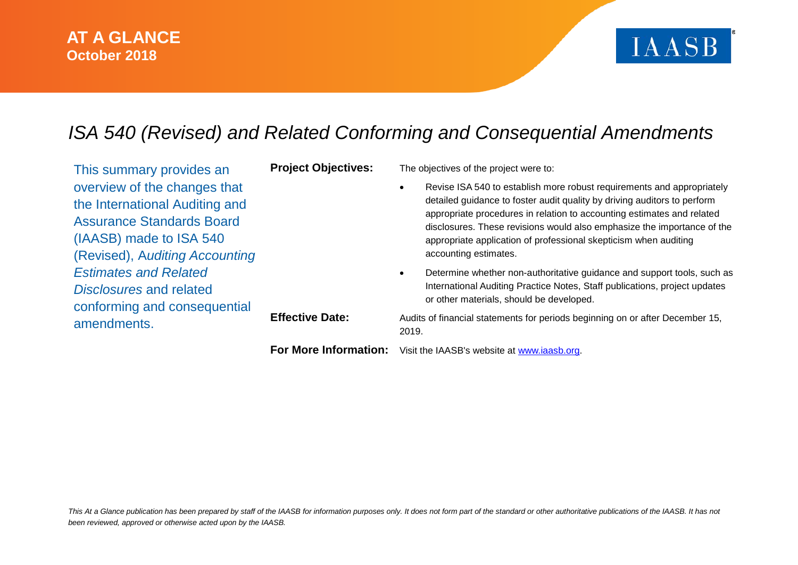

### *ISA 540 (Revised) and Related Conforming and Consequential Amendments*

| This summary provides an                                                                                                                                                                                                                                                  | <b>Project Objectives:</b> | The objectives of the project were to:                                                                                                                                                                                                                                                                                                                                                               |
|---------------------------------------------------------------------------------------------------------------------------------------------------------------------------------------------------------------------------------------------------------------------------|----------------------------|------------------------------------------------------------------------------------------------------------------------------------------------------------------------------------------------------------------------------------------------------------------------------------------------------------------------------------------------------------------------------------------------------|
| overview of the changes that<br>the International Auditing and<br><b>Assurance Standards Board</b><br>(IAASB) made to ISA 540<br>(Revised), Auditing Accounting<br><b>Estimates and Related</b><br>Disclosures and related<br>conforming and consequential<br>amendments. |                            | Revise ISA 540 to establish more robust requirements and appropriately<br>detailed guidance to foster audit quality by driving auditors to perform<br>appropriate procedures in relation to accounting estimates and related<br>disclosures. These revisions would also emphasize the importance of the<br>appropriate application of professional skepticism when auditing<br>accounting estimates. |
|                                                                                                                                                                                                                                                                           |                            | Determine whether non-authoritative guidance and support tools, such as<br>International Auditing Practice Notes, Staff publications, project updates<br>or other materials, should be developed.                                                                                                                                                                                                    |
|                                                                                                                                                                                                                                                                           | <b>Effective Date:</b>     | Audits of financial statements for periods beginning on or after December 15,<br>2019.                                                                                                                                                                                                                                                                                                               |
|                                                                                                                                                                                                                                                                           |                            | For More Information: Visit the IAASB's website at www.iaasb.org.                                                                                                                                                                                                                                                                                                                                    |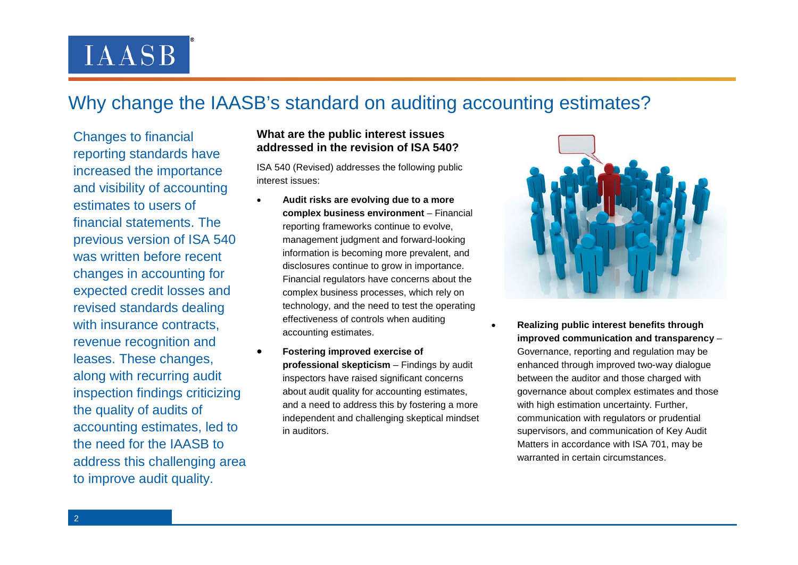### Why change the IAASB's standard on auditing accounting estimates?

Changes to financial reporting standards have increased the importance and visibility of accounting estimates to users of financial statements. The previous version of ISA 540 was written before recent changes in accounting for expected credit losses and revised standards dealing with insurance contracts. revenue recognition and leases. These changes, along with recurring audit inspection findings criticizing the quality of audits of accounting estimates, led to the need for the IAASB to address this challenging area to improve audit quality.

#### **What are the public interest issues addressed in the revision of ISA 540?**

ISA 540 (Revised) addresses the following public interest issues:

- **Audit risks are evolving due to a more complex business environment** – Financial reporting frameworks continue to evolve, management judgment and forward-looking information is becoming more prevalent, and disclosures continue to grow in importance. Financial regulators have concerns about the complex business processes, which rely on technology, and the need to test the operating effectiveness of controls when auditing accounting estimates.
- **Fostering improved exercise of professional skepticism** – Findings by audit inspectors have raised significant concerns about audit quality for accounting estimates, and a need to address this by fostering a more independent and challenging skeptical mindset in auditors.



• **Realizing public interest benefits through improved communication and transparency** – Governance, reporting and regulation may be enhanced through improved two-way dialogue between the auditor and those charged with governance about complex estimates and those with high estimation uncertainty. Further, communication with regulators or prudential supervisors, and communication of Key Audit Matters in accordance with ISA 701, may be warranted in certain circumstances.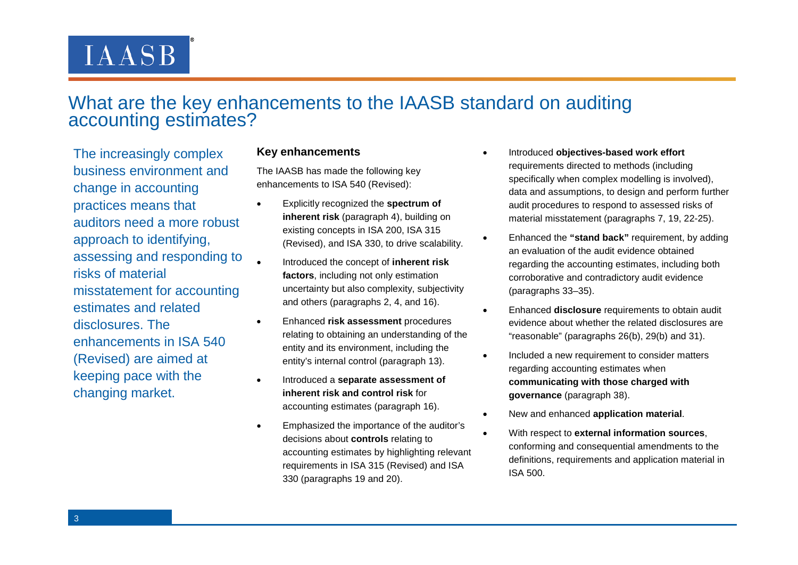# What are the key enhancements to the IAASB standard on auditing accounting estimates?

The increasingly complex business environment and change in accounting practices means that auditors need a more robust approach to identifying, assessing and responding to risks of material misstatement for accounting estimates and related disclosures. The enhancements in ISA 540 (Revised) are aimed at keeping pace with the changing market.

#### **Key enhancements**

The IAASB has made the following key enhancements to ISA 540 (Revised):

- Explicitly recognized the **spectrum of inherent risk** (paragraph 4), building on existing concepts in ISA 200, ISA 315 (Revised), and ISA 330, to drive scalability.
- Introduced the concept of **inherent risk factors**, including not only estimation uncertainty but also complexity, subjectivity and others (paragraphs 2, 4, and 16).
- Enhanced **risk assessment** procedures relating to obtaining an understanding of the entity and its environment, including the entity's internal control (paragraph 13).
- Introduced a **separate assessment of inherent risk and control risk** for accounting estimates (paragraph 16).
- Emphasized the importance of the auditor's decisions about **controls** relating to accounting estimates by highlighting relevant requirements in ISA 315 (Revised) and ISA 330 (paragraphs 19 and 20).
- Introduced **objectives-based work effort**  requirements directed to methods (including specifically when complex modelling is involved), data and assumptions, to design and perform further audit procedures to respond to assessed risks of material misstatement (paragraphs 7, 19, 22-25).
- Enhanced the **"stand back"** requirement, by adding an evaluation of the audit evidence obtained regarding the accounting estimates, including both corroborative and contradictory audit evidence (paragraphs 33–35).
- Enhanced **disclosure** requirements to obtain audit evidence about whether the related disclosures are "reasonable" (paragraphs 26(b), 29(b) and 31).
- Included a new requirement to consider matters regarding accounting estimates when **communicating with those charged with governance** (paragraph 38).
- New and enhanced **application material**.
- With respect to **external information sources**, conforming and consequential amendments to the definitions, requirements and application material in ISA 500.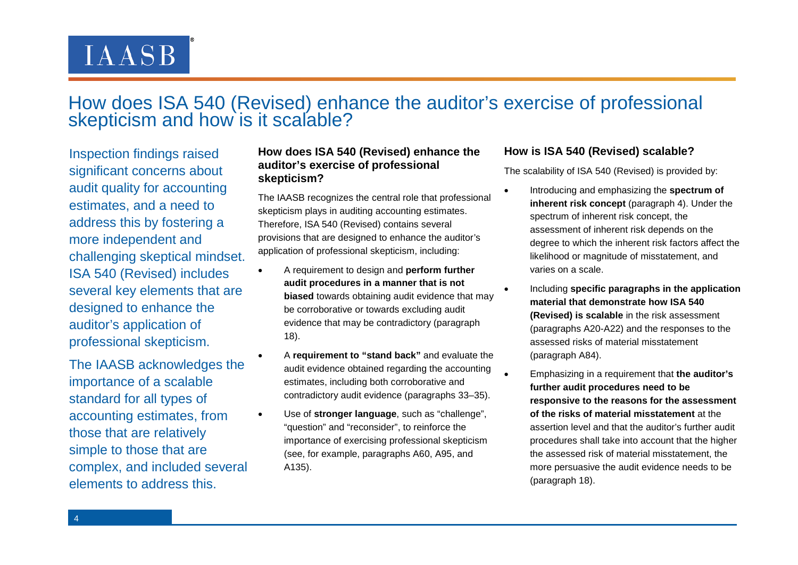### How does ISA 540 (Revised) enhance the auditor's exercise of professional skepticism and how is it scalable?

Inspection findings raised significant concerns about audit quality for accounting estimates, and a need to address this by fostering a more independent and challenging skeptical mindset. ISA 540 (Revised) includes several key elements that are designed to enhance the auditor's application of professional skepticism.

The IAASB acknowledges the importance of a scalable standard for all types of accounting estimates, from those that are relatively simple to those that are complex, and included several elements to address this.

#### **How does ISA 540 (Revised) enhance the auditor's exercise of professional skepticism?**

The IAASB recognizes the central role that professional skepticism plays in auditing accounting estimates. Therefore, ISA 540 (Revised) contains several provisions that are designed to enhance the auditor's application of professional skepticism, including:

- A requirement to design and **perform further audit procedures in a manner that is not biased** towards obtaining audit evidence that may be corroborative or towards excluding audit evidence that may be contradictory (paragraph 18).
- A **requirement to "stand back"** and evaluate the audit evidence obtained regarding the accounting estimates, including both corroborative and contradictory audit evidence (paragraphs 33–35).
- Use of **stronger language**, such as "challenge", "question" and "reconsider", to reinforce the importance of exercising professional skepticism (see, for example, paragraphs A60, A95, and A135).

#### **How is ISA 540 (Revised) scalable?**

The scalability of ISA 540 (Revised) is provided by:

- Introducing and emphasizing the **spectrum of inherent risk concept** (paragraph 4). Under the spectrum of inherent risk concept, the assessment of inherent risk depends on the degree to which the inherent risk factors affect the likelihood or magnitude of misstatement, and varies on a scale.
- Including **specific paragraphs in the application material that demonstrate how ISA 540 (Revised) is scalable** in the risk assessment (paragraphs A20-A22) and the responses to the assessed risks of material misstatement (paragraph A84).
	- Emphasizing in a requirement that **the auditor's further audit procedures need to be responsive to the reasons for the assessment of the risks of material misstatement** at the assertion level and that the auditor's further audit procedures shall take into account that the higher the assessed risk of material misstatement, the more persuasive the audit evidence needs to be (paragraph 18).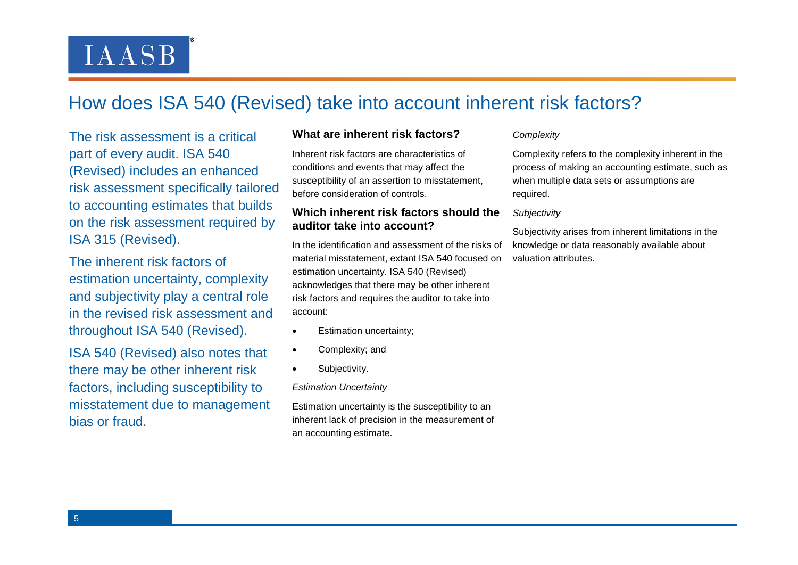### How does ISA 540 (Revised) take into account inherent risk factors?

The risk assessment is a critical part of every audit. ISA 540 (Revised) includes an enhanced risk assessment specifically tailored to accounting estimates that builds on the risk assessment required by ISA 315 (Revised).

The inherent risk factors of estimation uncertainty, complexity and subjectivity play a central role in the revised risk assessment and throughout ISA 540 (Revised).

ISA 540 (Revised) also notes that there may be other inherent risk factors, including susceptibility to misstatement due to management bias or fraud.

#### **What are inherent risk factors?**

Inherent risk factors are characteristics of conditions and events that may affect the susceptibility of an assertion to misstatement, before consideration of controls.

#### **Which inherent risk factors should the auditor take into account?**

In the identification and assessment of the risks of material misstatement, extant ISA 540 focused on estimation uncertainty. ISA 540 (Revised) acknowledges that there may be other inherent risk factors and requires the auditor to take into account:

- **Estimation uncertainty:**
- Complexity; and
- Subjectivity.

*Estimation Uncertainty*

Estimation uncertainty is the susceptibility to an inherent lack of precision in the measurement of an accounting estimate.

#### *Complexity*

Complexity refers to the complexity inherent in the process of making an accounting estimate, such as when multiple data sets or assumptions are required.

#### *Subjectivity*

Subjectivity arises from inherent limitations in the knowledge or data reasonably available about valuation attributes.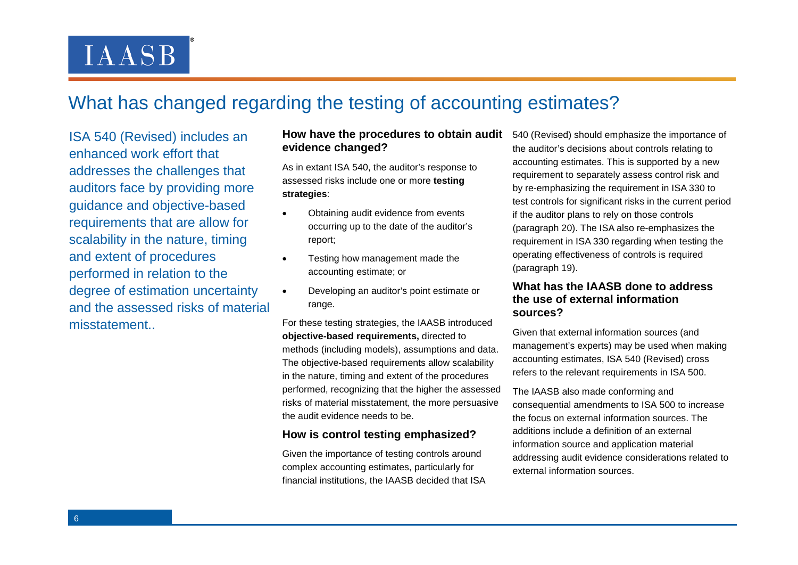### What has changed regarding the testing of accounting estimates?

ISA 540 (Revised) includes an enhanced work effort that addresses the challenges that auditors face by providing more guidance and objective-based requirements that are allow for scalability in the nature, timing and extent of procedures performed in relation to the degree of estimation uncertainty and the assessed risks of material misstatement..

#### **How have the procedures to obtain audit**  540 (Revised) should emphasize the importance of **evidence changed?**

As in extant ISA 540, the auditor's response to assessed risks include one or more **testing strategies**:

- Obtaining audit evidence from events occurring up to the date of the auditor's report;
- Testing how management made the accounting estimate; or
- Developing an auditor's point estimate or range.

For these testing strategies, the IAASB introduced **objective-based requirements,** directed to methods (including models), assumptions and data. The objective-based requirements allow scalability in the nature, timing and extent of the procedures performed, recognizing that the higher the assessed risks of material misstatement, the more persuasive the audit evidence needs to be.

#### **How is control testing emphasized?**

Given the importance of testing controls around complex accounting estimates, particularly for financial institutions, the IAASB decided that ISA

the auditor's decisions about controls relating to accounting estimates. This is supported by a new requirement to separately assess control risk and by re-emphasizing the requirement in ISA 330 to test controls for significant risks in the current period if the auditor plans to rely on those controls (paragraph 20). The ISA also re-emphasizes the requirement in ISA 330 regarding when testing the operating effectiveness of controls is required (paragraph 19).

#### **What has the IAASB done to address the use of external information sources?**

Given that external information sources (and management's experts) may be used when making accounting estimates, ISA 540 (Revised) cross refers to the relevant requirements in ISA 500.

The IAASB also made conforming and consequential amendments to ISA 500 to increase the focus on external information sources. The additions include a definition of an external information source and application material addressing audit evidence considerations related to external information sources.